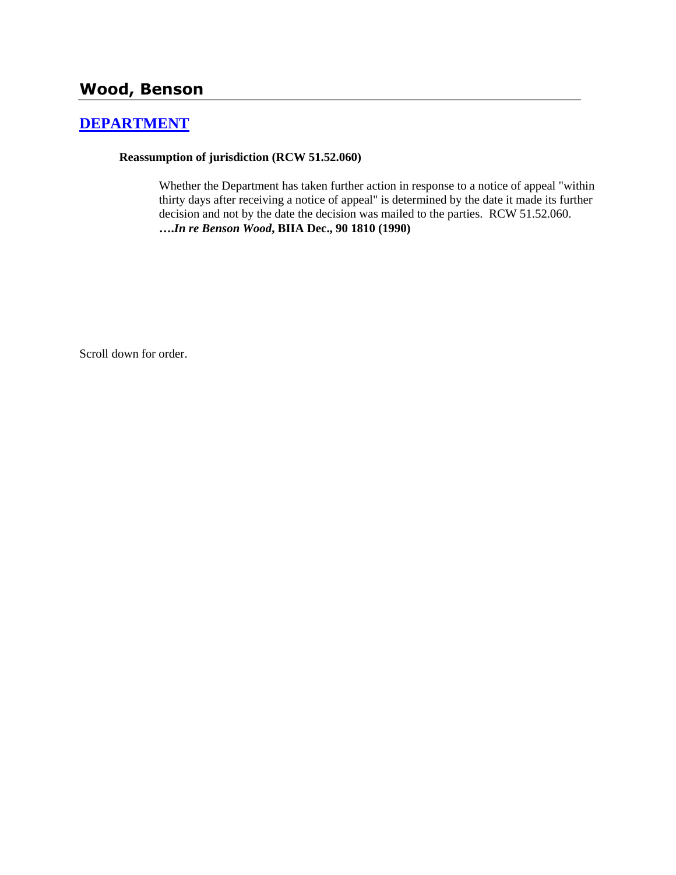# **Wood, Benson**

## **[DEPARTMENT](http://www.biia.wa.gov/SDSubjectIndex.html#DEPARTMENT)**

### **Reassumption of jurisdiction (RCW 51.52.060)**

Whether the Department has taken further action in response to a notice of appeal "within thirty days after receiving a notice of appeal" is determined by the date it made its further decision and not by the date the decision was mailed to the parties. RCW 51.52.060. **….***In re Benson Wood***, BIIA Dec., 90 1810 (1990)**

Scroll down for order.